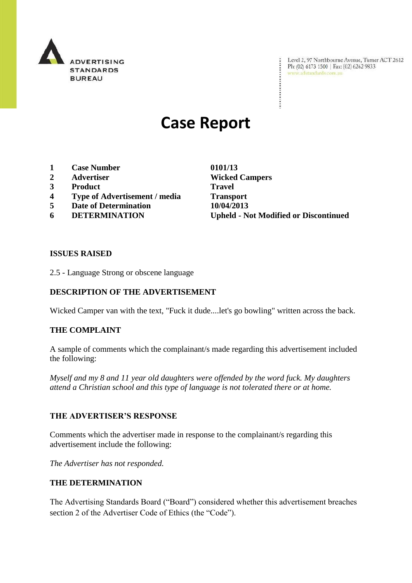

Level 2, 97 Northbourne Avenue, Turner ACT 2612<br>Ph: (02) 6173 1500 | Fax: (02) 6262 9833<br>www.advendards.com.au

# **Case Report**

- **1 Case Number 0101/13**
- **2 Advertiser Wicked Campers**
- **3 Product Travel**
- **4 Type of Advertisement / media Transport**
- **5 Date of Determination 10/04/2013**
- 

**6 DETERMINATION Upheld - Not Modified or Discontinued**

#### **ISSUES RAISED**

2.5 - Language Strong or obscene language

### **DESCRIPTION OF THE ADVERTISEMENT**

Wicked Camper van with the text, "Fuck it dude....let's go bowling" written across the back.

#### **THE COMPLAINT**

A sample of comments which the complainant/s made regarding this advertisement included the following:

*Myself and my 8 and 11 year old daughters were offended by the word fuck. My daughters attend a Christian school and this type of language is not tolerated there or at home.*

#### **THE ADVERTISER'S RESPONSE**

Comments which the advertiser made in response to the complainant/s regarding this advertisement include the following:

*The Advertiser has not responded.*

### **THE DETERMINATION**

The Advertising Standards Board ("Board") considered whether this advertisement breaches section 2 of the Advertiser Code of Ethics (the "Code").